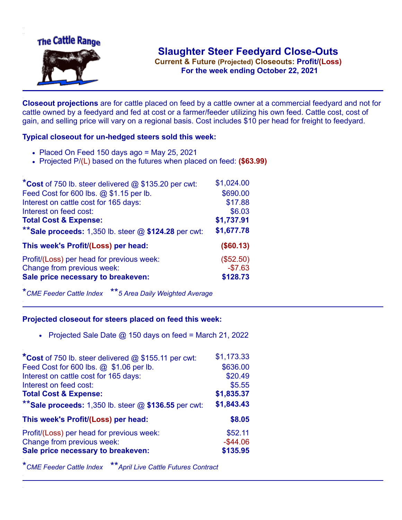

**Current & Future (Projected) Closeouts: Profit/(Loss)** .**For the week ending October 22, 2021**

**Closeout projections** are for cattle placed on feed by a cattle owner at a commercial feedyard and not for cattle owned by a feedyard and fed at cost or a farmer/feeder utilizing his own feed. Cattle cost, cost of gain, and selling price will vary on a regional basis. Cost includes \$10 per head for freight to feedyard.

## **Typical closeout for un-hedged steers sold this week:**

- $\bullet$  Placed On Feed 150 days ago = May 25, 2021
- Projected P/(L) based on the futures when placed on feed: **(\$63.99)**

| *Cost of 750 lb. steer delivered $@$ \$135.20 per cwt:  | \$1,024.00 |
|---------------------------------------------------------|------------|
| Feed Cost for 600 lbs. @ \$1.15 per lb.                 | \$690.00   |
| Interest on cattle cost for 165 days:                   | \$17.88    |
| Interest on feed cost:                                  | \$6.03     |
| <b>Total Cost &amp; Expense:</b>                        | \$1,737.91 |
| ** Sale proceeds: 1,350 lb. steer $@$ \$124.28 per cwt: | \$1,677.78 |
| This week's Profit/(Loss) per head:                     | (\$60.13)  |
| Profit/(Loss) per head for previous week:               | (\$52.50)  |
| Change from previous week:                              | $-$7.63$   |
| Sale price necessary to breakeven:                      | \$128.73   |

\**CME Feeder Cattle Index* \*\**5 Area Daily Weighted Average*

## **Projected closeout for steers placed on feed this week:**

• Projected Sale Date  $@$  150 days on feed = March 21, 2022

| *Cost of 750 lb. steer delivered @ \$155.11 per cwt:    | \$1,173.33  |
|---------------------------------------------------------|-------------|
| Feed Cost for 600 lbs. @ \$1.06 per lb.                 | \$636.00    |
| Interest on cattle cost for 165 days:                   | \$20.49     |
| Interest on feed cost:                                  | \$5.55      |
| <b>Total Cost &amp; Expense:</b>                        | \$1,835.37  |
| ** Sale proceeds: 1,350 lb. steer $@$ \$136.55 per cwt: | \$1,843.43  |
| This week's Profit/(Loss) per head:                     | \$8.05      |
| Profit/(Loss) per head for previous week:               | \$52.11     |
| Change from previous week:                              | $-$ \$44.06 |
| Sale price necessary to breakeven:                      | \$135.95    |

\**CME Feeder Cattle Index* \*\**April Live Cattle Futures Contract*